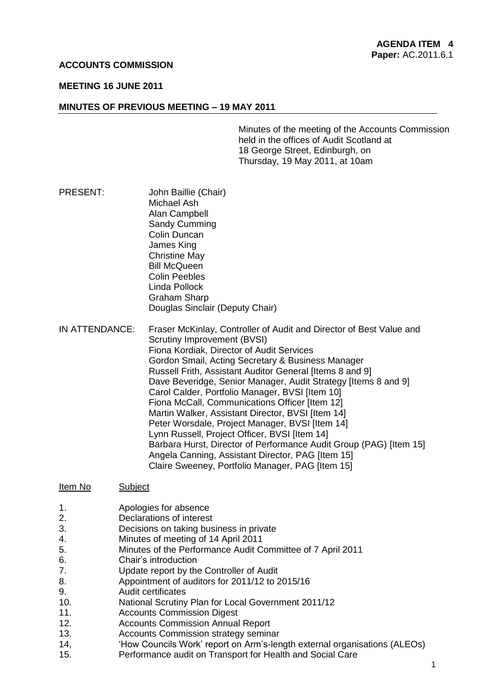### **ACCOUNTS COMMISSION**

### **MEETING 16 JUNE 2011**

### **MINUTES OF PREVIOUS MEETING – 19 MAY 2011**

Minutes of the meeting of the Accounts Commission held in the offices of Audit Scotland at 18 George Street, Edinburgh, on Thursday, 19 May 2011, at 10am

- PRESENT: John Baillie (Chair) Michael Ash Alan Campbell Sandy Cumming Colin Duncan James King Christine May Bill McQueen Colin Peebles Linda Pollock Graham Sharp Douglas Sinclair (Deputy Chair)
- IN ATTENDANCE: Fraser McKinlay, Controller of Audit and Director of Best Value and Scrutiny Improvement (BVSI) Fiona Kordiak, Director of Audit Services Gordon Smail, Acting Secretary & Business Manager Russell Frith, Assistant Auditor General [Items 8 and 9] Dave Beveridge, Senior Manager, Audit Strategy [Items 8 and 9] Carol Calder, Portfolio Manager, BVSI [Item 10] Fiona McCall, Communications Officer [Item 12] Martin Walker, Assistant Director, BVSI [Item 14] Peter Worsdale, Project Manager, BVSI [Item 14] Lynn Russell, Project Officer, BVSI [Item 14] Barbara Hurst, Director of Performance Audit Group (PAG) [Item 15] Angela Canning, Assistant Director, PAG [Item 15] Claire Sweeney, Portfolio Manager, PAG [Item 15]

#### Item No Subject

- 1. Apologies for absence
- 2. Declarations of interest
- 3. Decisions on taking business in private
- 4. Minutes of meeting of 14 April 2011
- 5. Minutes of the Performance Audit Committee of 7 April 2011
- 6. Chair's introduction
- 7. Update report by the Controller of Audit
- 8. Appointment of auditors for 2011/12 to 2015/16
- 9. Audit certificates
- 10. National Scrutiny Plan for Local Government 2011/12
- 11. Accounts Commission Digest
- 12. Accounts Commission Annual Report
- 13. Accounts Commission strategy seminar
- 14, 'How Councils Work' report on Arm's-length external organisations (ALEOs)
- 15. Performance audit on Transport for Health and Social Care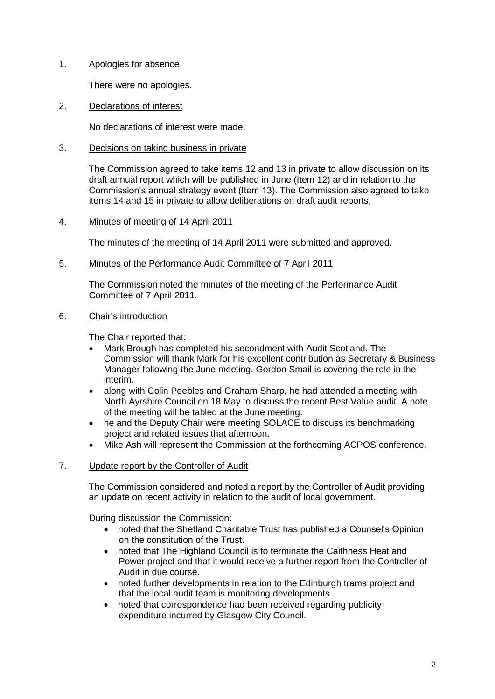# 1. Apologies for absence

There were no apologies.

2. Declarations of interest

No declarations of interest were made.

# 3. Decisions on taking business in private

The Commission agreed to take items 12 and 13 in private to allow discussion on its draft annual report which will be published in June (Item 12) and in relation to the Commission's annual strategy event (Item 13). The Commission also agreed to take items 14 and 15 in private to allow deliberations on draft audit reports.

# 4. Minutes of meeting of 14 April 2011

The minutes of the meeting of 14 April 2011 were submitted and approved.

### 5. Minutes of the Performance Audit Committee of 7 April 2011

The Commission noted the minutes of the meeting of the Performance Audit Committee of 7 April 2011.

# 6. Chair's introduction

The Chair reported that:

- Mark Brough has completed his secondment with Audit Scotland. The Commission will thank Mark for his excellent contribution as Secretary & Business Manager following the June meeting. Gordon Smail is covering the role in the interim.
- along with Colin Peebles and Graham Sharp, he had attended a meeting with North Ayrshire Council on 18 May to discuss the recent Best Value audit. A note of the meeting will be tabled at the June meeting.
- he and the Deputy Chair were meeting SOLACE to discuss its benchmarking project and related issues that afternoon.
- Mike Ash will represent the Commission at the forthcoming ACPOS conference.

# 7. Update report by the Controller of Audit

The Commission considered and noted a report by the Controller of Audit providing an update on recent activity in relation to the audit of local government.

During discussion the Commission:

- noted that the Shetland Charitable Trust has published a Counsel's Opinion on the constitution of the Trust.
- noted that The Highland Council is to terminate the Caithness Heat and Power project and that it would receive a further report from the Controller of Audit in due course.
- noted further developments in relation to the Edinburgh trams project and that the local audit team is monitoring developments
- noted that correspondence had been received regarding publicity expenditure incurred by Glasgow City Council.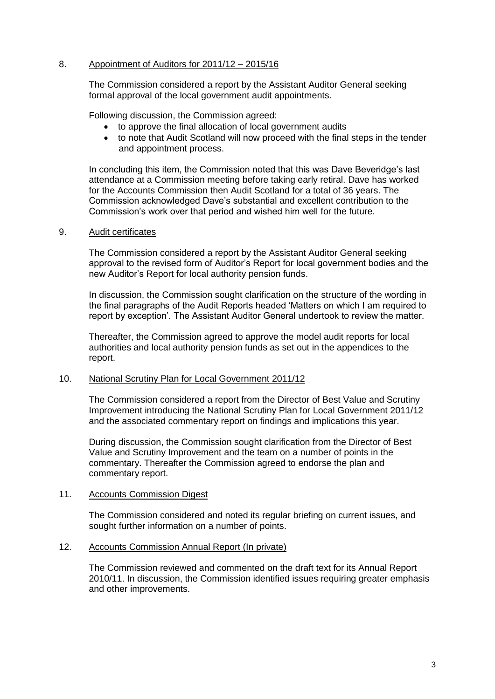# 8. Appointment of Auditors for 2011/12 – 2015/16

The Commission considered a report by the Assistant Auditor General seeking formal approval of the local government audit appointments.

Following discussion, the Commission agreed:

- to approve the final allocation of local government audits
- to note that Audit Scotland will now proceed with the final steps in the tender and appointment process.

In concluding this item, the Commission noted that this was Dave Beveridge's last attendance at a Commission meeting before taking early retiral. Dave has worked for the Accounts Commission then Audit Scotland for a total of 36 years. The Commission acknowledged Dave's substantial and excellent contribution to the Commission's work over that period and wished him well for the future.

# 9. Audit certificates

The Commission considered a report by the Assistant Auditor General seeking approval to the revised form of Auditor's Report for local government bodies and the new Auditor's Report for local authority pension funds.

In discussion, the Commission sought clarification on the structure of the wording in the final paragraphs of the Audit Reports headed 'Matters on which I am required to report by exception'. The Assistant Auditor General undertook to review the matter.

Thereafter, the Commission agreed to approve the model audit reports for local authorities and local authority pension funds as set out in the appendices to the report.

# 10. National Scrutiny Plan for Local Government 2011/12

The Commission considered a report from the Director of Best Value and Scrutiny Improvement introducing the National Scrutiny Plan for Local Government 2011/12 and the associated commentary report on findings and implications this year.

During discussion, the Commission sought clarification from the Director of Best Value and Scrutiny Improvement and the team on a number of points in the commentary. Thereafter the Commission agreed to endorse the plan and commentary report.

### 11. Accounts Commission Digest

The Commission considered and noted its regular briefing on current issues, and sought further information on a number of points.

### 12. Accounts Commission Annual Report (In private)

The Commission reviewed and commented on the draft text for its Annual Report 2010/11. In discussion, the Commission identified issues requiring greater emphasis and other improvements.